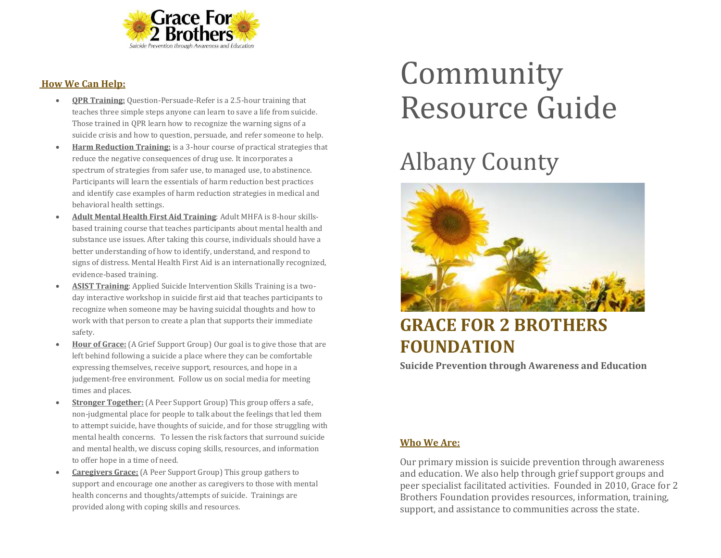

#### **How We Can Help:**

- **QPR Training:** Question-Persuade-Refer is a 2.5-hour training that teaches three simple steps anyone can learn to save a life from suicide. Those trained in QPR learn how to recognize the warning signs of a suicide crisis and how to question, persuade, and refer someone to help.
- **Harm Reduction Training:** is a 3-hour course of practical strategies that reduce the negative consequences of drug use. It incorporates a spectrum of strategies from safer use, to managed use, to abstinence. Participants will learn the essentials of harm reduction best practices and identify case examples of harm reduction strategies in medical and behavioral health settings.
- **Adult Mental Health First Aid Training**: Adult MHFA is 8-hour skillsbased training course that teaches participants about mental health and substance use issues. After taking this course, individuals should have a better understanding of how to identify, understand, and respond to signs of distress. Mental Health First Aid is an internationally recognized, evidence-based training.
- **ASIST Training**: Applied Suicide Intervention Skills Training is a twoday interactive workshop in suicide first aid that teaches participants to recognize when someone may be having suicidal thoughts and how to work with that person to create a plan that supports their immediate safety.
- **Hour of Grace:** (A Grief Support Group) Our goal is to give those that are left behind following a suicide a place where they can be comfortable expressing themselves, receive support, resources, and hope in a judgement-free environment. Follow us on social media for meeting times and places.
- **Stronger Together:** (A Peer Support Group) This group offers a safe, non-judgmental place for people to talk about the feelings that led them to attempt suicide, have thoughts of suicide, and for those struggling with mental health concerns. To lessen the risk factors that surround suicide and mental health, we discuss coping skills, resources, and information to offer hope in a time of need.
- **Caregivers Grace:** (A Peer Support Group) This group gathers to support and encourage one another as caregivers to those with mental health concerns and thoughts/attempts of suicide. Trainings are provided along with coping skills and resources.

# Community Resource Guide

## Albany County



### **GRACE FOR 2 BROTHERS FOUNDATION**

**Suicide Prevention through Awareness and Education**

#### **Who We Are:**

Our primary mission is suicide prevention through awareness and education. We also help through grief support groups and peer specialist facilitated activities. Founded in 2010, Grace for 2 Brothers Foundation provides resources, information, training, support, and assistance to communities across the state.